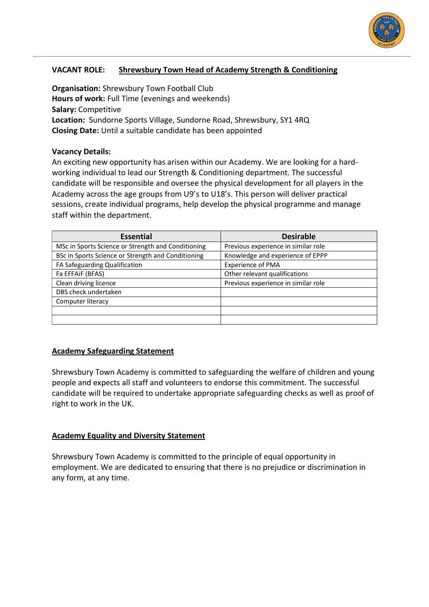

## **VACANT ROLE: Shrewsbury Town Head of Academy Strength & Conditioning**

**Organisation:** Shrewsbury Town Football Club **Hours of work:** Full Time (evenings and weekends) **Salary:** Competitive **Location:** Sundorne Sports Village, Sundorne Road, Shrewsbury, SY1 4RQ **Closing Date:** Until a suitable candidate has been appointed

#### **Vacancy Details:**

An exciting new opportunity has arisen within our Academy. We are looking for a hardworking individual to lead our Strength & Conditioning department. The successful candidate will be responsible and oversee the physical development for all players in the Academy across the age groups from U9's to U18's. This person will deliver practical sessions, create individual programs, help develop the physical programme and manage staff within the department.

| <b>Essential</b>                                   | <b>Desirable</b>                    |
|----------------------------------------------------|-------------------------------------|
| MSc in Sports Science or Strength and Conditioning | Previous experience in similar role |
| BSc in Sports Science or Strength and Conditioning | Knowledge and experience of EPPP    |
| FA Safeguarding Qualification                      | <b>Experience of PMA</b>            |
| Fa EFFAiF (BFAS)                                   | Other relevant qualifications       |
| Clean driving licence                              | Previous experience in similar role |
| DBS check undertaken                               |                                     |
| Computer literacy                                  |                                     |
|                                                    |                                     |
|                                                    |                                     |

### **Academy Safeguarding Statement**

Shrewsbury Town Academy is committed to safeguarding the welfare of children and young people and expects all staff and volunteers to endorse this commitment. The successful candidate will be required to undertake appropriate safeguarding checks as well as proof of right to work in the UK.

### **Academy Equality and Diversity Statement**

Shrewsbury Town Academy is committed to the principle of equal opportunity in employment. We are dedicated to ensuring that there is no prejudice or discrimination in any form, at any time.